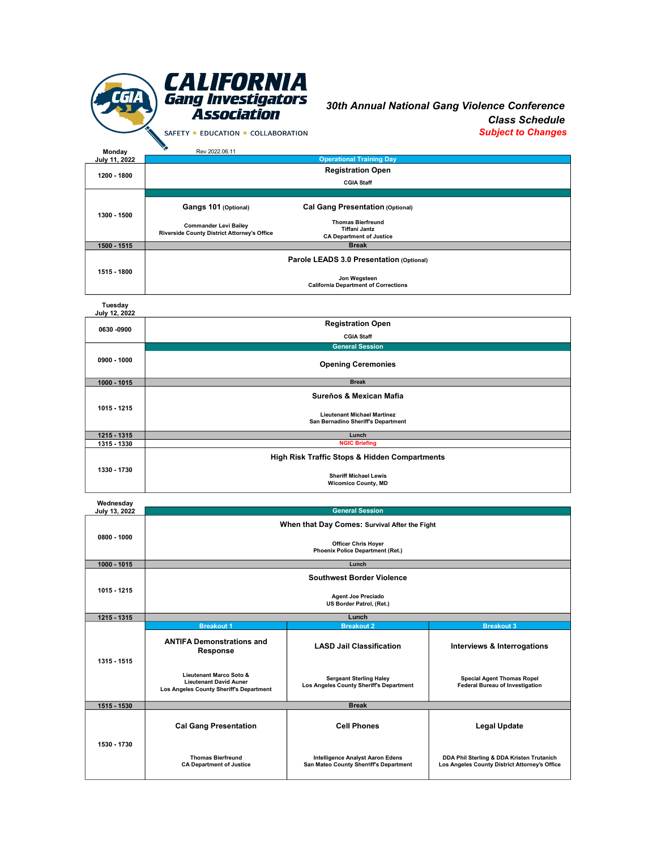

30th Annual National Gang Violence Conference Class Schedule Subject to Changes

| Monday        | Rev 2022.06.11                              |                                                         |  |
|---------------|---------------------------------------------|---------------------------------------------------------|--|
| July 11, 2022 | <b>Operational Training Day</b>             |                                                         |  |
| 1200 - 1800   | <b>Registration Open</b>                    |                                                         |  |
|               |                                             | <b>CGIA Staff</b>                                       |  |
| 1300 - 1500   |                                             |                                                         |  |
|               | Gangs 101 (Optional)                        | <b>Cal Gang Presentation (Optional)</b>                 |  |
|               | <b>Commander Levi Bailey</b>                | <b>Thomas Bierfreund</b>                                |  |
|               | Riverside County District Attorney's Office | <b>Tiffani Jantz</b><br><b>CA Department of Justice</b> |  |
| 1500 - 1515   | <b>Break</b>                                |                                                         |  |
| 1515 - 1800   | Parole LEADS 3.0 Presentation (Optional)    |                                                         |  |
|               |                                             | Jon Wegsteen                                            |  |
|               |                                             | <b>California Department of Corrections</b>             |  |

Tuesday July 12, 2022

| <b>July 12, 2022</b> |                                                                          |  |
|----------------------|--------------------------------------------------------------------------|--|
| 0630 -0900           | <b>Registration Open</b>                                                 |  |
|                      | <b>CGIA Staff</b>                                                        |  |
| 0900 - 1000          | <b>General Session</b>                                                   |  |
|                      | <b>Opening Ceremonies</b>                                                |  |
| 1000 - 1015          | <b>Break</b>                                                             |  |
| 1015 - 1215          | Sureños & Mexican Mafia                                                  |  |
|                      | <b>Lieutenant Michael Martinez</b><br>San Bernadino Sheriff's Department |  |
| 1215 - 1315          | Lunch                                                                    |  |
| 1315 - 1330          | <b>NGIC Briefing</b>                                                     |  |
| 1330 - 1730          | <b>High Risk Traffic Stops &amp; Hidden Compartments</b>                 |  |
|                      | <b>Sheriff Michael Lewis</b><br><b>Wicomico County, MD</b>               |  |

| Wednesday     |                                                                                                     |                                                                            |                                                                                            |  |  |
|---------------|-----------------------------------------------------------------------------------------------------|----------------------------------------------------------------------------|--------------------------------------------------------------------------------------------|--|--|
| July 13, 2022 |                                                                                                     | <b>General Session</b>                                                     |                                                                                            |  |  |
|               | When that Day Comes: Survival After the Fight                                                       |                                                                            |                                                                                            |  |  |
| 0800 - 1000   | <b>Officer Chris Hoyer</b><br><b>Phoenix Police Department (Ret.)</b>                               |                                                                            |                                                                                            |  |  |
| 1000 - 1015   | Lunch                                                                                               |                                                                            |                                                                                            |  |  |
| 1015 - 1215   | <b>Southwest Border Violence</b>                                                                    |                                                                            |                                                                                            |  |  |
|               | <b>Agent Joe Preciado</b><br>US Border Patrol, (Ret.)                                               |                                                                            |                                                                                            |  |  |
| 1215 - 1315   |                                                                                                     | Lunch                                                                      |                                                                                            |  |  |
|               | <b>Breakout 1</b>                                                                                   | <b>Breakout 2</b>                                                          | <b>Breakout 3</b>                                                                          |  |  |
| 1315 - 1515   | <b>ANTIFA Demonstrations and</b><br><b>Response</b>                                                 | <b>LASD Jail Classification</b>                                            | Interviews & Interrogations                                                                |  |  |
|               | Lieutenant Marco Soto &<br><b>Lieutenant David Auner</b><br>Los Angeles County Sheriff's Department | <b>Sergeant Sterling Haley</b><br>Los Angeles County Sheriff's Department  | <b>Special Agent Thomas Ropel</b><br><b>Federal Bureau of Investigation</b>                |  |  |
| 1515 - 1530   |                                                                                                     | <b>Break</b>                                                               |                                                                                            |  |  |
| 1530 - 1730   | <b>Cal Gang Presentation</b>                                                                        | <b>Cell Phones</b>                                                         | <b>Legal Update</b>                                                                        |  |  |
|               | <b>Thomas Bierfreund</b><br><b>CA Department of Justice</b>                                         | Intelligence Analyst Aaron Edens<br>San Mateo County Sherriff's Department | DDA Phil Sterling & DDA Kristen Trutanich<br>Los Angeles County District Attorney's Office |  |  |